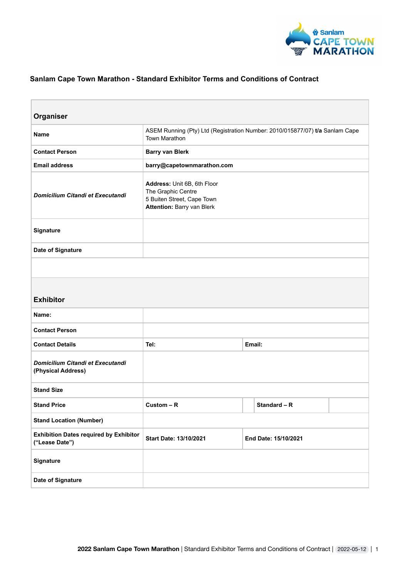

# **Sanlam Cape Town Marathon - Standard Exhibitor Terms and Conditions of Contract**

| Organiser                                                       |                                                                                                               |                      |              |  |
|-----------------------------------------------------------------|---------------------------------------------------------------------------------------------------------------|----------------------|--------------|--|
| <b>Name</b>                                                     | ASEM Running (Pty) Ltd (Registration Number: 2010/015877/07) t/a Sanlam Cape<br>Town Marathon                 |                      |              |  |
| <b>Contact Person</b>                                           | <b>Barry van Blerk</b>                                                                                        |                      |              |  |
| <b>Email address</b>                                            | barry@capetownmarathon.com                                                                                    |                      |              |  |
| Domicilium Citandi et Executandi                                | Address: Unit 6B, 6th Floor<br>The Graphic Centre<br>5 Buiten Street, Cape Town<br>Attention: Barry van Blerk |                      |              |  |
| Signature                                                       |                                                                                                               |                      |              |  |
| Date of Signature                                               |                                                                                                               |                      |              |  |
|                                                                 |                                                                                                               |                      |              |  |
| <b>Exhibitor</b>                                                |                                                                                                               |                      |              |  |
| Name:                                                           |                                                                                                               |                      |              |  |
| <b>Contact Person</b>                                           |                                                                                                               |                      |              |  |
| <b>Contact Details</b>                                          | Tel:                                                                                                          | Email:               |              |  |
| Domicilium Citandi et Executandi<br>(Physical Address)          |                                                                                                               |                      |              |  |
| <b>Stand Size</b>                                               |                                                                                                               |                      |              |  |
| <b>Stand Price</b>                                              | $Custom - R$                                                                                                  |                      | Standard - R |  |
| <b>Stand Location (Number)</b>                                  |                                                                                                               |                      |              |  |
| <b>Exhibition Dates required by Exhibitor</b><br>("Lease Date") | Start Date: 13/10/2021                                                                                        | End Date: 15/10/2021 |              |  |
| Signature                                                       |                                                                                                               |                      |              |  |
| Date of Signature                                               |                                                                                                               |                      |              |  |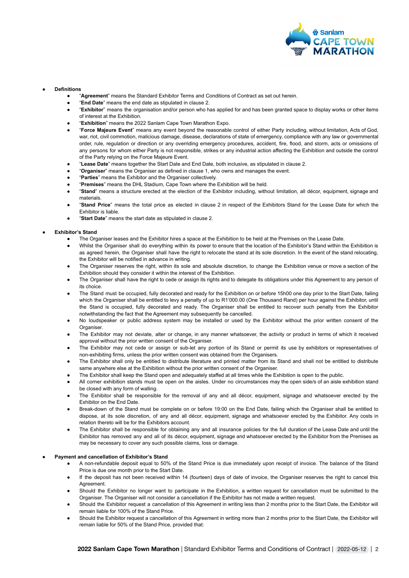

# ● **Definitions**

- "**Agreement**" means the Standard Exhibitor Terms and Conditions of Contract as set out herein.
- "**End Date**" means the end date as stipulated in clause 2.
- "Exhibitor" means the organisation and/or person who has applied for and has been granted space to display works or other items of interest at the Exhibition.
- "Exhibition" means the 2022 Sanlam Cape Town Marathon Expo.
- "**Force Majeure Event**" means any event beyond the reasonable control of either Party including, without limitation, Acts of God, war, riot, civil commotion, malicious damage, disease, declarations of state of emergency, compliance with any law or governmental order, rule, regulation or direction or any overriding emergency procedures, accident, fire, flood, and storm, acts or omissions of any persons for whom either Party is not responsible, strikes or any industrial action affecting the Exhibition and outside the control of the Party relying on the Force Majeure Event.
- "**Lease Date**" means together the Start Date and End Date, both inclusive, as stipulated in clause 2.
- "Organiser" means the Organiser as defined in clause 1, who owns and manages the event.
- "**Parties**" means the Exhibitor and the Organiser collectively.
- "Premises" means the DHL Stadium, Cape Town where the Exhibition will be held.
- "Stand" means a structure erected at the election of the Exhibitor including, without limitation, all décor, equipment, signage and materials.
- "Stand Price" means the total price as elected in clause 2 in respect of the Exhibitors Stand for the Lease Date for which the Exhibitor is liable.
- "Start Date" means the start date as stipulated in clause 2.

## ● **Exhibitor's Stand**

- The Organiser leases and the Exhibitor hires a space at the Exhibition to be held at the Premises on the Lease Date.
- Whilst the Organiser shall do everything within its power to ensure that the location of the Exhibitor's Stand within the Exhibition is as agreed herein, the Organiser shall have the right to relocate the stand at its sole discretion. In the event of the stand relocating, the Exhibitor will be notified in advance in writing.
- The Organiser reserves the right, within its sole and absolute discretion, to change the Exhibition venue or move a section of the Exhibition should they consider it within the interest of the Exhibition.
- The Organiser shall have the right to cede or assign its rights and to delegate its obligations under this Agreement to any person of its choice.
- The Stand must be occupied, fully decorated and ready for the Exhibition on or before 15h00 one day prior to the Start Date, failing which the Organiser shall be entitled to levy a penalty of up to R1'000.00 (One Thousand Rand) per hour against the Exhibitor, until the Stand is occupied, fully decorated and ready. The Organiser shall be entitled to recover such penalty from the Exhibitor notwithstanding the fact that the Agreement may subsequently be cancelled.
- No loudspeaker or public address system may be installed or used by the Exhibitor without the prior written consent of the Organiser.
- The Exhibitor may not deviate, alter or change, in any manner whatsoever, the activity or product in terms of which it received approval without the prior written consent of the Organiser.
- The Exhibitor may not cede or assign or sub-let any portion of its Stand or permit its use by exhibitors or representatives of non-exhibiting firms, unless the prior written consent was obtained from the Organisers.
- The Exhibitor shall only be entitled to distribute literature and printed matter from its Stand and shall not be entitled to distribute same anywhere else at the Exhibition without the prior written consent of the Organiser.
- The Exhibitor shall keep the Stand open and adequately staffed at all times while the Exhibition is open to the public.
- All corner exhibition stands must be open on the aisles. Under no circumstances may the open side/s of an aisle exhibition stand be closed with any form of walling.
- The Exhibitor shall be responsible for the removal of any and all décor, equipment, signage and whatsoever erected by the Exhibitor on the End Date.
- Break-down of the Stand must be complete on or before 19:00 on the End Date, failing which the Organiser shall be entitled to dispose, at its sole discretion, of any and all décor, equipment, signage and whatsoever erected by the Exhibitor. Any costs in relation thereto will be for the Exhibitors account.
- The Exhibitor shall be responsible for obtaining any and all insurance policies for the full duration of the Lease Date and until the Exhibitor has removed any and all of its décor, equipment, signage and whatsoever erected by the Exhibitor from the Premises as may be necessary to cover any such possible claims, loss or damage.

# **Payment and cancellation of Exhibitor's Stand**

- A non-refundable deposit equal to 50% of the Stand Price is due immediately upon receipt of invoice. The balance of the Stand Price is due one month prior to the Start Date.
- If the deposit has not been received within 14 (fourteen) days of date of invoice, the Organiser reserves the right to cancel this Agreement.
- Should the Exhibitor no longer want to participate in the Exhibition, a written request for cancellation must be submitted to the Organiser. The Organiser will not consider a cancellation if the Exhibitor has not made a written request.
- Should the Exhibitor request a cancellation of this Agreement in writing less than 2 months prior to the Start Date, the Exhibitor will remain liable for 100% of the Stand Price.
- Should the Exhibitor request a cancellation of this Agreement in writing more than 2 months prior to the Start Date, the Exhibitor will remain liable for 50% of the Stand Price, provided that: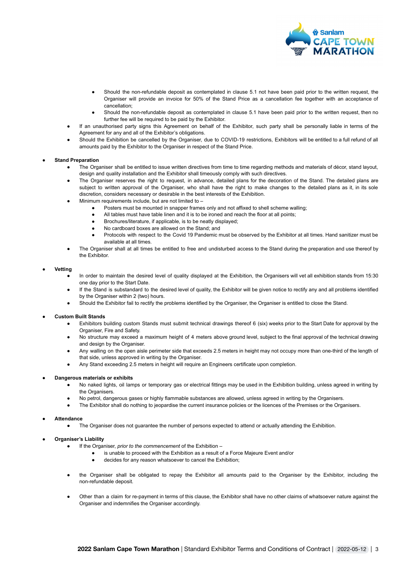

- Should the non-refundable deposit as contemplated in clause 5.1 not have been paid prior to the written request, the Organiser will provide an invoice for 50% of the Stand Price as a cancellation fee together with an acceptance of cancellation;
- Should the non-refundable deposit as contemplated in clause 5.1 have been paid prior to the written request, then no further fee will be required to be paid by the Exhibitor.
- If an unauthorised party signs this Agreement on behalf of the Exhibitor, such party shall be personally liable in terms of the Agreement for any and all of the Exhibitor's obligations.
- Should the Exhibition be cancelled by the Organiser, due to COVID-19 restrictions, Exhibitors will be entitled to a full refund of all amounts paid by the Exhibitor to the Organiser in respect of the Stand Price.

## **Stand Preparation**

- The Organiser shall be entitled to issue written directives from time to time regarding methods and materials of décor, stand layout, design and quality installation and the Exhibitor shall timeously comply with such directives.
- The Organiser reserves the right to request, in advance, detailed plans for the decoration of the Stand. The detailed plans are subject to written approval of the Organiser, who shall have the right to make changes to the detailed plans as it, in its sole discretion, considers necessary or desirable in the best interests of the Exhibition.
- Minimum requirements include, but are not limited to  $-$ 
	- Posters must be mounted in snapper frames only and not affixed to shell scheme walling;
	- All tables must have table linen and it is to be ironed and reach the floor at all points;
	- Brochures/literature, if applicable, is to be neatly displayed;
	- No cardboard boxes are allowed on the Stand; and
	- Protocols with respect to the Covid 19 Pandemic must be observed by the Exhibitor at all times. Hand sanitizer must be available at all times.
- The Organiser shall at all times be entitled to free and undisturbed access to the Stand during the preparation and use thereof by the Exhibitor.

#### ● **Vetting**

- In order to maintain the desired level of quality displayed at the Exhibition, the Organisers will vet all exhibition stands from 15:30 one day prior to the Start Date.
- If the Stand is substandard to the desired level of quality, the Exhibitor will be given notice to rectify any and all problems identified by the Organiser within 2 (two) hours.
- Should the Exhibitor fail to rectify the problems identified by the Organiser, the Organiser is entitled to close the Stand.

## **Custom Built Stands**

- Exhibitors building custom Stands must submit technical drawings thereof 6 (six) weeks prior to the Start Date for approval by the Organiser, Fire and Safety.
- No structure may exceed a maximum height of 4 meters above ground level, subject to the final approval of the technical drawing and design by the Organiser.
- Any walling on the open aisle perimeter side that exceeds 2.5 meters in height may not occupy more than one-third of the length of that side, unless approved in writing by the Organiser.
- Any Stand exceeding 2.5 meters in height will require an Engineers certificate upon completion.

#### ● **Dangerous materials or exhibits**

- No naked lights, oil lamps or temporary gas or electrical fittings may be used in the Exhibition building, unless agreed in writing by the Organisers.
- No petrol, dangerous gases or highly flammable substances are allowed, unless agreed in writing by the Organisers.
- The Exhibitor shall do nothing to jeopardise the current insurance policies or the licences of the Premises or the Organisers.

● **Attendance**

• The Organiser does not quarantee the number of persons expected to attend or actually attending the Exhibition.

# **Organiser's Liability**

- If the Organiser, *prior to the commencement* of the Exhibition
	- is unable to proceed with the Exhibition as a result of a Force Majeure Event and/or
		- decides for any reason whatsoever to cancel the Exhibition;
- the Organiser shall be obligated to repay the Exhibitor all amounts paid to the Organiser by the Exhibitor, including the non-refundable deposit.
- Other than a claim for re-payment in terms of this clause, the Exhibitor shall have no other claims of whatsoever nature against the Organiser and indemnifies the Organiser accordingly.